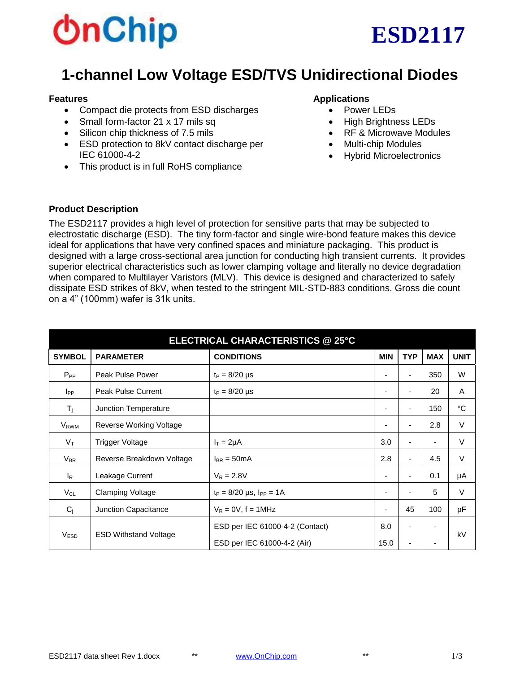# **bnChip**



# **1-channel Low Voltage ESD/TVS Unidirectional Diodes**

#### **Features**

- Compact die protects from ESD discharges
- Small form-factor 21 x 17 mils sq
- Silicon chip thickness of 7.5 mils
- ESD protection to 8kV contact discharge per IEC 61000-4-2
- This product is in full RoHS compliance

#### **Applications**

- Power LEDs
- High Brightness LEDs
- RF & Microwave Modules
- Multi-chip Modules
- Hybrid Microelectronics

#### **Product Description**

The ESD2117 provides a high level of protection for sensitive parts that may be subjected to electrostatic discharge (ESD). The tiny form-factor and single wire-bond feature makes this device ideal for applications that have very confined spaces and miniature packaging. This product is designed with a large cross-sectional area junction for conducting high transient currents. It provides superior electrical characteristics such as lower clamping voltage and literally no device degradation when compared to Multilayer Varistors (MLV). This device is designed and characterized to safely dissipate ESD strikes of 8kV, when tested to the stringent MIL-STD-883 conditions. Gross die count on a 4" (100mm) wafer is 31k units.

| ELECTRICAL CHARACTERISTICS @ 25°C |                              |                                    |            |                |                          |             |  |  |  |  |
|-----------------------------------|------------------------------|------------------------------------|------------|----------------|--------------------------|-------------|--|--|--|--|
| <b>SYMBOL</b>                     | <b>PARAMETER</b>             | <b>CONDITIONS</b>                  | <b>MIN</b> | <b>TYP</b>     | <b>MAX</b>               | <b>UNIT</b> |  |  |  |  |
| $P_{PP}$                          | Peak Pulse Power             | $t_P = 8/20 \mu s$                 |            | ۰              | 350                      | W           |  |  |  |  |
| $I_{PP}$                          | <b>Peak Pulse Current</b>    | $t_P = 8/20 \mu s$                 |            | ۰              | 20                       | A           |  |  |  |  |
| $T_i$                             | Junction Temperature         |                                    |            | $\blacksquare$ | 150                      | °C          |  |  |  |  |
| V <sub>RWM</sub>                  | Reverse Working Voltage      |                                    |            | $\blacksquare$ | 2.8                      | $\vee$      |  |  |  |  |
| $V_T$                             | <b>Trigger Voltage</b>       | $I_T = 2\mu A$                     | 3.0        | ٠              | $\overline{\phantom{a}}$ | $\vee$      |  |  |  |  |
| $V_{BR}$                          | Reverse Breakdown Voltage    | $I_{BR} = 50mA$                    | 2.8        |                | 4.5                      | $\vee$      |  |  |  |  |
| $I_R$                             | Leakage Current              | $V_R = 2.8V$                       |            | $\blacksquare$ | 0.1                      | μA          |  |  |  |  |
| $V_{CL}$                          | <b>Clamping Voltage</b>      | $t_P = 8/20 \mu s$ , $I_{PP} = 1A$ |            | ۰              | 5                        | $\vee$      |  |  |  |  |
| $C_i$                             | Junction Capacitance         | $V_R = 0V$ , f = 1MHz              |            | 45             | 100                      | pF          |  |  |  |  |
| <b>VESD</b>                       | <b>ESD Withstand Voltage</b> | ESD per IEC 61000-4-2 (Contact)    | 8.0        | ۰              |                          | kV          |  |  |  |  |
|                                   |                              | ESD per IEC 61000-4-2 (Air)        | 15.0       | $\blacksquare$ |                          |             |  |  |  |  |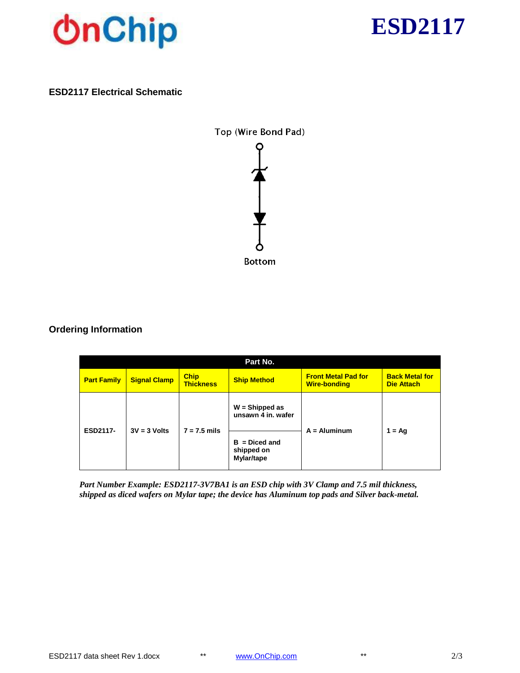



### **ESD2117 Electrical Schematic**



# **Ordering Information**

| Part No.           |                     |                                 |                                             |                                                   |                                            |  |  |  |
|--------------------|---------------------|---------------------------------|---------------------------------------------|---------------------------------------------------|--------------------------------------------|--|--|--|
| <b>Part Family</b> | <b>Signal Clamp</b> | <b>Chip</b><br><b>Thickness</b> | <b>Ship Method</b>                          | <b>Front Metal Pad for</b><br><b>Wire-bonding</b> | <b>Back Metal for</b><br><b>Die Attach</b> |  |  |  |
| ESD2117-           | $3V = 3$ Volts      | $7 = 7.5$ mils                  | $W =$ Shipped as<br>unsawn 4 in. wafer      | $A =$ Aluminum                                    | $1 = \text{Aq}$                            |  |  |  |
|                    |                     |                                 | $B = Diced$ and<br>shipped on<br>Mylar/tape |                                                   |                                            |  |  |  |

*Part Number Example: ESD2117-3V7BA1 is an ESD chip with 3V Clamp and 7.5 mil thickness, shipped as diced wafers on Mylar tape; the device has Aluminum top pads and Silver back-metal.*